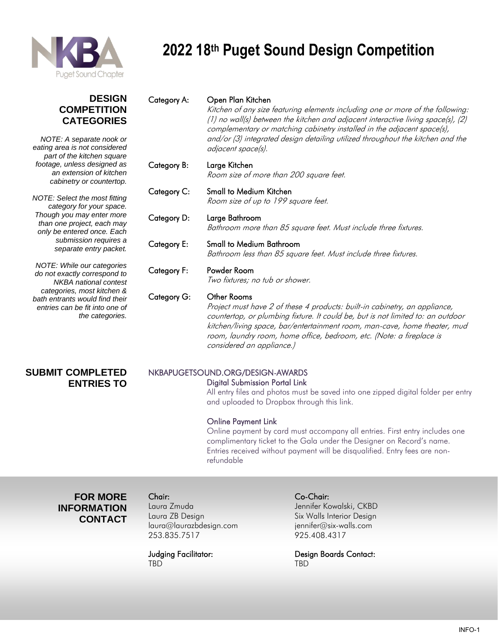

#### **DESIGN COMPETITION CATEGORIES**

*NOTE: A separate nook or eating area is not considered part of the kitchen square footage, unless designed as an extension of kitchen cabinetry or countertop.*

*NOTE: Select the most fitting category for your space. Though you may enter more than one project, each may only be entered once. Each submission requires a separate entry packet.*

*NOTE: While our categories do not exactly correspond to NKBA national contest categories, most kitchen & bath entrants would find their entries can be fit into one of the categories.*

#### Category A: Open Plan Kitchen

Kitchen of any size featuring elements including one or more of the following: (1) no wall(s) between the kitchen and adjacent interactive living space(s), (2) complementary or matching cabinetry installed in the adjacent space(s), and/or (3) integrated design detailing utilized throughout the kitchen and the adjacent space(s).

#### Category B: Large Kitchen Room size of more than 200 square feet.

Category C: Small to Medium Kitchen Room size of up to 199 square feet.

Category D: Large Bathroom Bathroom more than 85 square feet. Must include three fixtures.

#### Category E: Small to Medium Bathroom Bathroom less than 85 square feet. Must include three fixtures.

#### Category F: Powder Room

Two fixtures; no tub or shower.

#### Category G: Other Rooms

Project must have 2 of these 4 products: built-in cabinetry, an appliance, countertop, or plumbing fixture. It could be, but is not limited to: an outdoor kitchen/living space, bar/entertainment room, man-cave, home theater, mud room, laundry room, home office, bedroom, etc. (Note: a fireplace is considered an appliance.)

#### **SUBMIT COMPLETED ENTRIES TO**

#### NKBAPUGETSOUND.ORG/DESIGN-AWARDS Digital Submission Portal Link

All entry files and photos must be saved into one zipped digital folder per entry and uploaded to Dropbox through this link.

#### Online Payment Link

Online payment by card must accompany all entries. First entry includes one complimentary ticket to the Gala under the Designer on Record's name. Entries received without payment will be disqualified. Entry fees are nonrefundable

 **FOR MORE INFORMATION CONTACT**

Laura ZB Design Six Walls Interior Design [laura@laurazbdesign.com](mailto:laura@laurazbdesign.com) [jennifer@six-walls.com](mailto:jennifer@six-walls.com) 253.835.7517 925.408.4317

TBD TBD

#### Chair: Co-Chair:

Laura Zmuda Jennifer Kowalski, CKBD

Judging Facilitator: Design Boards Contact: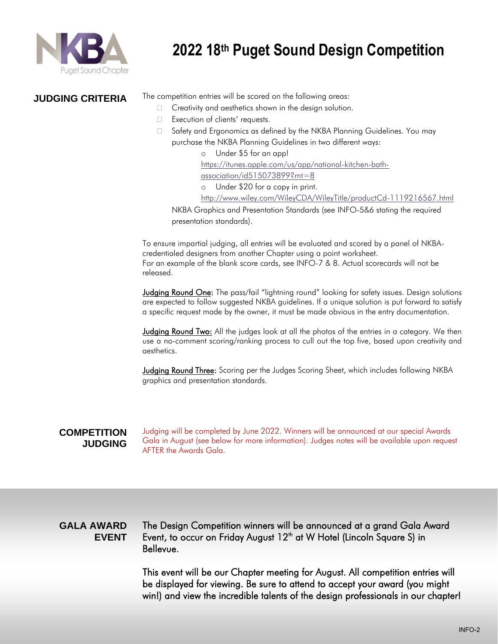

#### **JUDGING CRITERIA**

The competition entries will be scored on the following areas:

- $\Box$  Creativity and aesthetics shown in the design solution.
- □ Execution of clients' requests.
- □ Safety and Ergonomics as defined by the NKBA Planning Guidelines. You may purchase the NKBA Planning Guidelines in two different ways:
	- Under \$5 for an app! [https://itunes.apple.com/us/app/national-kitchen-bath](https://itunes.apple.com/us/app/national-kitchen-bath-association/id515073899?mt=8)[association/id515073899?mt=8](https://itunes.apple.com/us/app/national-kitchen-bath-association/id515073899?mt=8) Under \$20 for a copy in print. <http://www.wiley.com/WileyCDA/WileyTitle/productCd-1119216567.html>

NKBA Graphics and Presentation Standards (see INFO-5&6 stating the required presentation standards).

To ensure impartial judging, all entries will be evaluated and scored by a panel of NKBAcredentialed designers from another Chapter using a point worksheet. For an example of the blank score cards, see INFO-7 & 8. Actual scorecards will not be released.

Judging Round One: The pass/fail "lightning round" looking for safety issues. Design solutions are expected to follow suggested NKBA guidelines. If a unique solution is put forward to satisfy a specific request made by the owner, it must be made obvious in the entry documentation.

Judging Round Two: All the judges look at all the photos of the entries in a category. We then use a no-comment scoring/ranking process to cull out the top five, based upon creativity and aesthetics.

Judging Round Three: Scoring per the Judges Scoring Sheet, which includes following NKBA graphics and presentation standards.

#### **COMPETITION JUDGING**

Judging will be completed by June 2022. Winners will be announced at our special Awards Gala in August (see below for more information). Judges notes will be available upon request AFTER the Awards Gala.

#### **GALA AWARD EVENT**

The Design Competition winners will be announced at a grand Gala Award Event, to occur on Friday August 12<sup>th</sup> at W Hotel (Lincoln Square S) in Bellevue.

This event will be our Chapter meeting for August. All competition entries will be displayed for viewing. Be sure to attend to accept your award (you might win!) and view the incredible talents of the design professionals in our chapter!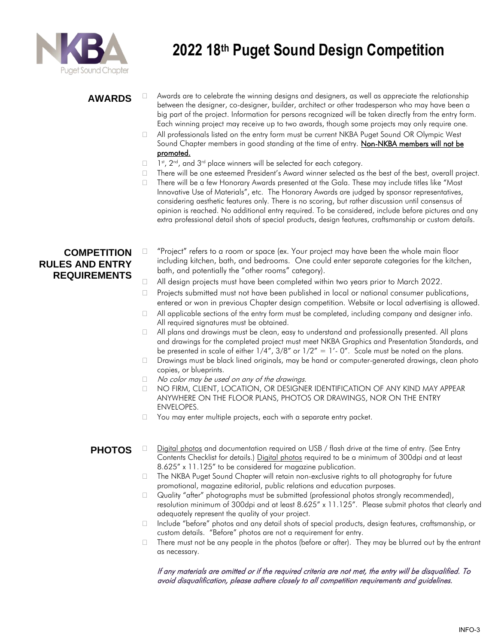

#### **AWARDS**

- $\Box$  Awards are to celebrate the winning designs and designers, as well as appreciate the relationship between the designer, co-designer, builder, architect or other tradesperson who may have been a big part of the project. Information for persons recognized will be taken directly from the entry form. Each winning project may receive up to two awards, though some projects may only require one.
- □ All professionals listed on the entry form must be current NKBA Puget Sound OR Olympic West Sound Chapter members in good standing at the time of entry. Non-NKBA members will not be promoted.
- n.  $\mathsf{s}^{\mathsf{st}},$  2 $\mathsf{nd}$ , and 3 $\mathsf{rd}$  place winners will be selected for each category.
- $\Box$  There will be one esteemed President's Award winner selected as the best of the best, overall project.
- $\Box$  There will be a few Honorary Awards presented at the Gala. These may include titles like "Most Innovative Use of Materials", etc. The Honorary Awards are judged by sponsor representatives, considering aesthetic features only. There is no scoring, but rather discussion until consensus of opinion is reached. No additional entry required. To be considered, include before pictures and any extra professional detail shots of special products, design features, craftsmanship or custom details.

#### **COMPETITION RULES AND ENTRY REQUIREMENTS**

- $\Box$  "Project" refers to a room or space (ex. Your project may have been the whole main floor including kitchen, bath, and bedrooms. One could enter separate categories for the kitchen, bath, and potentially the "other rooms" category).
- All design projects must have been completed within two years prior to March 2022.
- $\Box$  Projects submitted must not have been published in local or national consumer publications, entered or won in previous Chapter design competition. Website or local advertising is allowed.
- $\Box$  All applicable sections of the entry form must be completed, including company and designer info. All required signatures must be obtained.
- $\Box$  All plans and drawings must be clean, easy to understand and professionally presented. All plans and drawings for the completed project must meet NKBA Graphics and Presentation Standards, and be presented in scale of either  $1/4''$ ,  $3/8''$  or  $1/2'' = 1'$ - 0". Scale must be noted on the plans.
- $\Box$  Drawings must be black lined originals, may be hand or computer-generated drawings, clean photo copies, or blueprints.
- $\Box$  No color may be used on any of the drawings.
- $\Box$  NO FIRM, CLIENT, LOCATION, OR DESIGNER IDENTIFICATION OF ANY KIND MAY APPEAR ANYWHERE ON THE FLOOR PLANS, PHOTOS OR DRAWINGS, NOR ON THE ENTRY ENVELOPES.
- $\Box$  You may enter multiple projects, each with a separate entry packet.

#### **PHOTOS**  $\Box$  Digital photos and documentation required on USB / flash drive at the time of entry. (See Entry Contents Checklist for details.) Digital photos required to be a minimum of 300dpi and at least 8.625" x 11.125" to be considered for magazine publication.

- □ The NKBA Puget Sound Chapter will retain non-exclusive rights to all photography for future promotional, magazine editorial, public relations and education purposes.
- Quality "after" photographs must be submitted (professional photos strongly recommended), resolution minimum of 300dpi and at least 8.625" x 11.125". Please submit photos that clearly and adequately represent the quality of your project.
- Include "before" photos and any detail shots of special products, design features, craftsmanship, or custom details. "Before" photos are not a requirement for entry.
- $\Box$  There must not be any people in the photos (before or after). They may be blurred out by the entrant as necessary.

If any materials are omitted or if the required criteria are not met, the entry will be disqualified. To avoid disqualification, please adhere closely to all competition requirements and guidelines.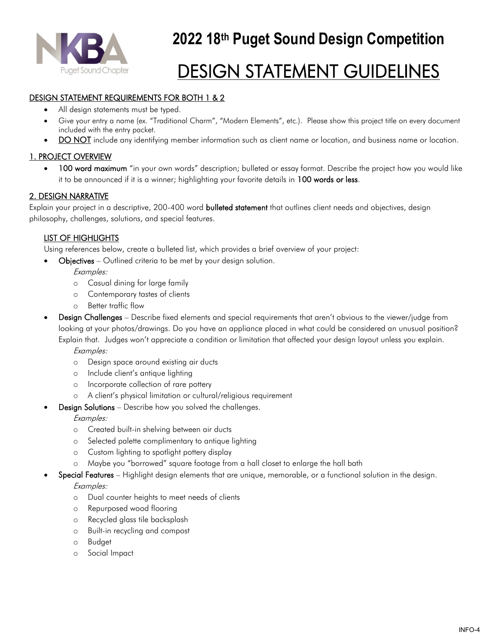

## DESIGN STATEMENT GUIDELINES

#### DESIGN STATEMENT REQUIREMENTS FOR BOTH 1 & 2

- All design statements must be typed.
- Give your entry a name (ex. "Traditional Charm", "Modern Elements", etc.). Please show this project title on every document included with the entry packet.
- DO NOT include any identifying member information such as client name or location, and business name or location.

#### 1. PROJECT OVERVIEW

• 100 word maximum "in your own words" description; bulleted or essay format. Describe the project how you would like it to be announced if it is a winner; highlighting your favorite details in 100 words or less.

#### 2. DESIGN NARRATIVE

Explain your project in a descriptive, 200-400 word **bulleted statement** that outlines client needs and objectives, design philosophy, challenges, solutions, and special features.

#### LIST OF HIGHLIGHTS

Using references below, create a bulleted list, which provides a brief overview of your project:

• Objectives – Outlined criteria to be met by your design solution.

Examples:

- o Casual dining for large family
- o Contemporary tastes of clients
- o Better traffic flow
- Design Challenges Describe fixed elements and special requirements that aren't obvious to the viewer/judge from looking at your photos/drawings. Do you have an appliance placed in what could be considered an unusual position? Explain that. Judges won't appreciate a condition or limitation that affected your design layout unless you explain.

Examples:

- o Design space around existing air ducts
- o Include client's antique lighting
- o Incorporate collection of rare pottery
- o A client's physical limitation or cultural/religious requirement
- **Design Solutions** Describe how you solved the challenges.

Examples:

- o Created built-in shelving between air ducts
- o Selected palette complimentary to antique lighting
- o Custom lighting to spotlight pottery display
- Maybe you "borrowed" square footage from a hall closet to enlarge the hall bath
- Special Features Highlight design elements that are unique, memorable, or a functional solution in the design. Examples:
	- o Dual counter heights to meet needs of clients
	- o Repurposed wood flooring
	- o Recycled glass tile backsplash
	- o Built-in recycling and compost
	- o Budget
	- o Social Impact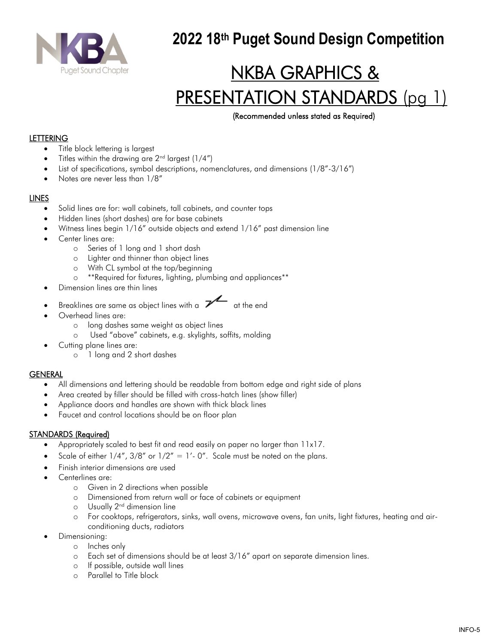

# NKBA GRAPHICS & PRESENTATION STANDARDS (pg 1)

#### (Recommended unless stated as Required)

#### **LETTERING**

- Title block lettering is largest
- Titles within the drawing are  $2<sup>nd</sup>$  largest (1/4")
- List of specifications, symbol descriptions, nomenclatures, and dimensions (1/8"-3/16")
- Notes are never less than 1/8"

#### LINES

- Solid lines are for: wall cabinets, tall cabinets, and counter tops
- Hidden lines (short dashes) are for base cabinets
- Witness lines begin 1/16" outside objects and extend 1/16" past dimension line
- Center lines are:
	- o Series of 1 long and 1 short dash
	- o Lighter and thinner than object lines
	- o With CL symbol at the top/beginning
	- o \*\*Required for fixtures, lighting, plumbing and appliances\*\*
- Dimension lines are thin lines
- Breaklines are same as object lines with a  $\overline{\mathscr{V}}$  at the end
- Overhead lines are:
	- o long dashes same weight as object lines
	- o Used "above" cabinets, e.g. skylights, soffits, molding
- Cutting plane lines are:
	- o 1 long and 2 short dashes

#### GENERAL

- All dimensions and lettering should be readable from bottom edge and right side of plans
- Area created by filler should be filled with cross-hatch lines (show filler)
- Appliance doors and handles are shown with thick black lines
- Faucet and control locations should be on floor plan

#### STANDARDS (Required)

- Appropriately scaled to best fit and read easily on paper no larger than 11x17.
- Scale of either  $1/4''$ ,  $3/8''$  or  $1/2'' = 1'$ -0". Scale must be noted on the plans.
- Finish interior dimensions are used
- Centerlines are:
	- o Given in 2 directions when possible
	- o Dimensioned from return wall or face of cabinets or equipment
	- o Usually 2nd dimension line
	- o For cooktops, refrigerators, sinks, wall ovens, microwave ovens, fan units, light fixtures, heating and airconditioning ducts, radiators
- Dimensioning:
	- o Inches only
	- o Each set of dimensions should be at least 3/16" apart on separate dimension lines.
	- o If possible, outside wall lines
	- o Parallel to Title block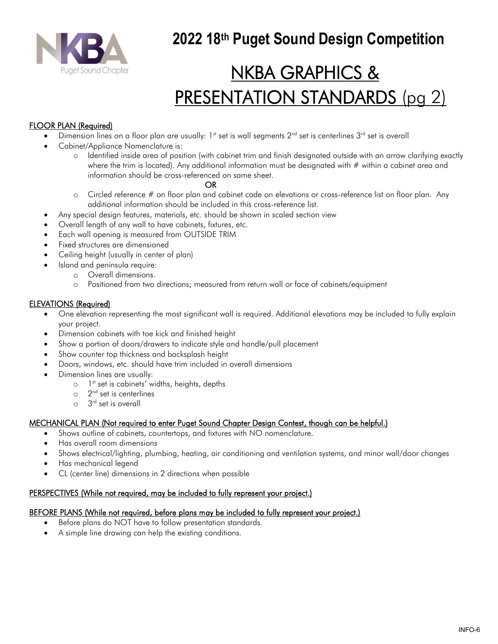

# NKBA GRAPHICS & PRESENTATION STANDARDS (pg 2)

#### FLOOR PLAN (Required)

- Dimension lines on a floor plan are usually: 1<sup>st</sup> set is wall segments  $2^{nd}$  set is centerlines  $3^{rd}$  set is overall
- Cabinet/Appliance Nomenclature is:
	- Identified inside area of position (with cabinet trim and finish designated outside with an arrow clarifying exactly where the trim is located). Any additional information must be designated with  $#$  within a cabinet area and information should be cross-referenced on same sheet.

#### OR

- o Circled reference # on floor plan and cabinet code on elevations or cross-reference list on floor plan. Any additional information should be included in this cross-reference list.
- Any special design features, materials, etc. should be shown in scaled section view
- Overall length of any wall to have cabinets, fixtures, etc.
- Each wall opening is measured from OUTSIDE TRIM
- Fixed structures are dimensioned
- Ceiling height (usually in center of plan)
	- Island and peninsula require:
		- o Overall dimensions.
		- o Positioned from two directions; measured from return wall or face of cabinets/equipment

#### ELEVATIONS (Required)

- One elevation representing the most significant wall is required. Additional elevations may be included to fully explain your project.
- Dimension cabinets with toe kick and finished height
- Show a portion of doors/drawers to indicate style and handle/pull placement
- Show counter top thickness and backsplash height
- Doors, windows, etc. should have trim included in overall dimensions
- Dimension lines are usually:
	- o l<sup>st</sup> set is cabinets' widths, heights, depths
	- o 2<sup>nd</sup> set is centerlines
		- o 3 rd set is overall

#### MECHANICAL PLAN (Not required to enter Puget Sound Chapter Design Contest, though can be helpful.)

- Shows outline of cabinets, countertops, and fixtures with NO nomenclature.
- Has overall room dimensions
- Shows electrical/lighting, plumbing, heating, air conditioning and ventilation systems, and minor wall/door changes
- Has mechanical legend
- CL (center line) dimensions in 2 directions when possible

#### PERSPECTIVES (While not required, may be included to fully represent your project.)

#### BEFORE PLANS (While not required, before plans may be included to fully represent your project.)

- Before plans do NOT have to follow presentation standards.
- A simple line drawing can help the existing conditions.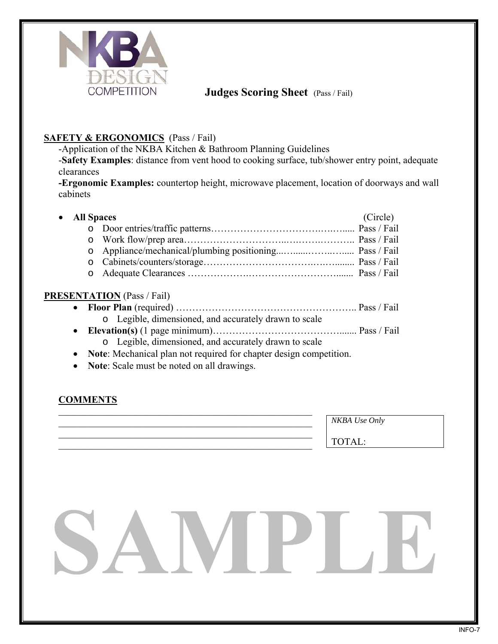

### **Judges Scoring Sheet** (Pass / Fail)

#### **SAFETY & ERGONOMICS** (Pass / Fail)

-Application of the NKBA Kitchen & Bathroom Planning Guidelines

-**Safety Examples**: distance from vent hood to cooking surface, tub/shower entry point, adequate clearances

**-Ergonomic Examples:** countertop height, microwave placement, location of doorways and wall cabinets

| • All Spaces | (Circle) |
|--------------|----------|
|              |          |
|              |          |
|              |          |
|              |          |
|              |          |

#### **PRESENTATION** (Pass / Fail)

- **Floor Plan** (required) ……………………………………………….. Pass / Fail o Legible, dimensioned, and accurately drawn to scale
- **Elevation(s)** (1 page minimum)…………………………………....... Pass / Fail
	- o Legible, dimensioned, and accurately drawn to scale
- **Note**: Mechanical plan not required for chapter design competition.
- **Note:** Scale must be noted on all drawings.

\_\_\_\_\_\_\_\_\_\_\_\_\_\_\_\_\_\_\_\_\_\_\_\_\_\_\_\_\_\_\_\_\_\_\_\_\_\_\_\_\_\_\_\_\_\_\_\_\_\_\_\_

### **COMMENTS**

*NKBA Use Only* 

TOTAL: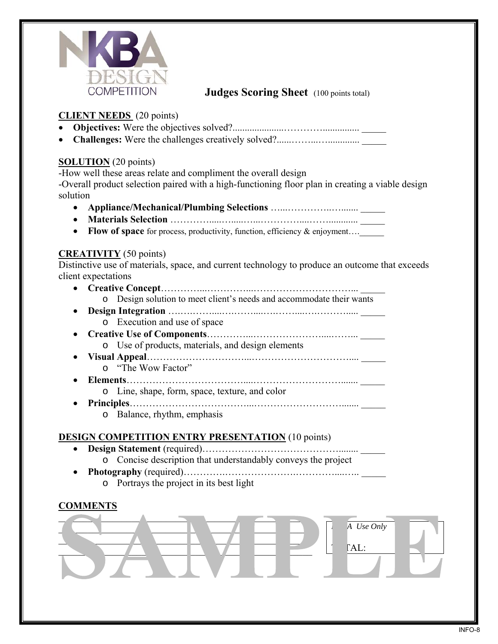

### **Judges Scoring Sheet** (100 points total)

#### **CLIENT NEEDS** (20 points)

- **Objectives:** Were the objectives solved?.....................…………............... \_\_\_\_\_
- **Challenges:** Were the challenges creatively solved?......……...…............. \_\_\_\_\_

#### **SOLUTION** (20 points)

-How well these areas relate and compliment the overall design

-Overall product selection paired with a high-functioning floor plan in creating a viable design solution

- **Appliance/Mechanical/Plumbing Selections** …...…………..…....... \_\_\_\_\_
- **Materials Selection** ………….....….....…...…………....……............ \_\_\_\_\_
- **Flow of space** for process, productivity, function, efficiency & enjoyment....

#### **CREATIVITY** (50 points)

Distinctive use of materials, space, and current technology to produce an outcome that exceeds client expectations

- **Creative Concept**…………...…………...…………………………... \_\_\_\_\_ o Design solution to meet client's needs and accommodate their wants
- **Design Integration** ……………………………………………………<u>……</u> o Execution and use of space
- **Creative Use of Components**…………...…………………....……... \_\_\_\_\_ o Use of products, materials, and design elements
- **Visual Appeal**…………………………...………………………….... \_\_\_\_\_ o "The Wow Factor"
- **Elements**………………………………....………………………....... \_\_\_\_\_ o Line, shape, form, space, texture, and color
- **Principles**………………………………...………………………....... \_\_\_\_\_
	- o Balance, rhythm, emphasis

#### **DESIGN COMPETITION ENTRY PRESENTATION** (10 points)

- **Design Statement** (required)……………………………………........ \_\_\_\_\_
	- o Concise description that understandably conveys the project
- Photography (required)………………………………………………
	- o Portrays the project in its best light

### **COMMENTS**